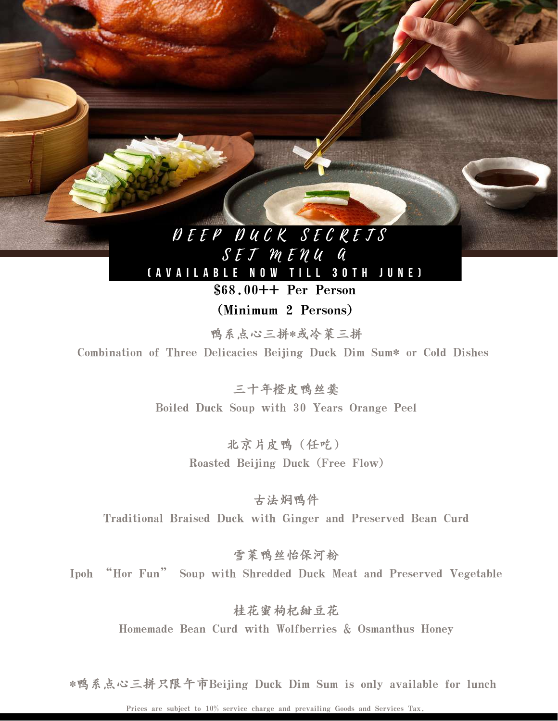## D E E P D U C K S E C R E T S  $S$   $E$   $J$   $M$   $E$   $N$   $U$   $Q$

[AVAILABLE NOW TILL 30TH JUNE]

\$68.00++ Per Person

(Minimum 2 Persons)

鸭系点心三拼\*或冷菜三拼 Combination of Three Delicacies Beijing Duck Dim Sum\* or Cold Dishes

> 三十年橙皮鸭丝羹 Boiled Duck Soup with 30 Years Orange Peel

> > 北京片皮鸭(任吃) Roasted Beijing Duck (Free Flow)

古法焖鸭件 Traditional Braised Duck with Ginger and Preserved Bean Curd

雪菜鸭丝怡保河粉

Ipoh "Hor Fun" Soup with Shredded Duck Meat and Preserved Vegetable

桂花蜜枸杞甜豆花 Homemade Bean Curd with Wolfberries & Osmanthus Honey

\*鸭系点心三拼只限午市Beijing Duck Dim Sum is only available for lunch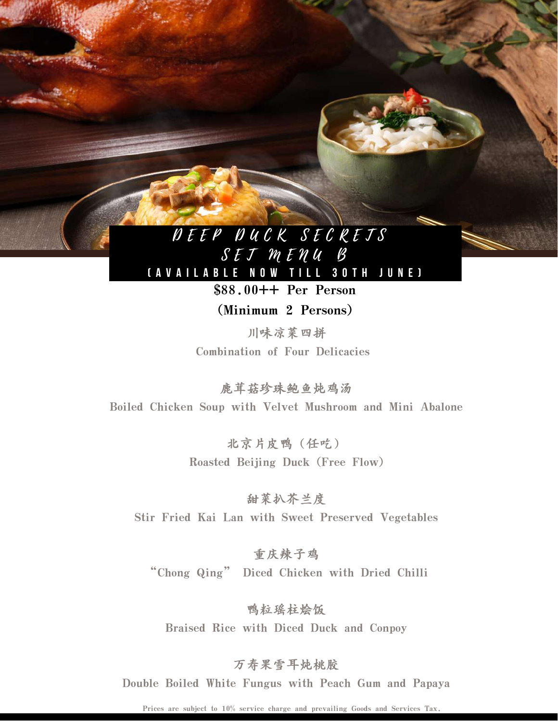## D E E P D U C K S E C R E T S  $S$  E  $J$   $M$  E  $N$   $U$   $B$

[AVAILABLE NOW TILL 30TH JUNE] \$88.00++ Per Person

(Minimum 2 Persons)

川味凉菜四拼 Combination of Four Delicacies

鹿茸菇珍珠鲍鱼炖鸡汤 Boiled Chicken Soup with Velvet Mushroom and Mini Abalone

> 北京片皮鸭(任吃) Roasted Beijing Duck (Free Flow)

甜菜扒芥兰度 Stir Fried Kai Lan with Sweet Preserved Vegetables

重庆辣子鸡 "Chong Qing" Diced Chicken with Dried Chilli

鸭粒瑶柱烩饭 Braised Rice with Diced Duck and Conpoy

### 万寿果雪耳炖桃胶

Double Boiled White Fungus with Peach Gum and Papaya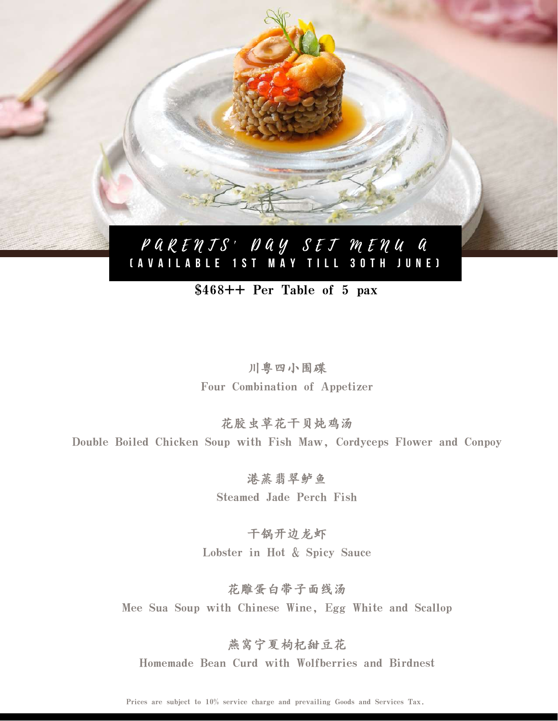

### \$468++ Per Table of 5 pax

川粤四小围碟 Four Combination of Appetizer

花胶虫草花干贝炖鸡汤 Double Boiled Chicken Soup with Fish Maw, Cordyceps Flower and Conpoy

> 港蒸翡翠鲈鱼 Steamed Jade Perch Fish

干锅开边龙虾 Lobster in Hot & Spicy Sauce

花雕蛋白带子面线汤 Mee Sua Soup with Chinese Wine, Egg White and Scallop

燕窝宁夏枸杞甜豆花 Homemade Bean Curd with Wolfberries and Birdnest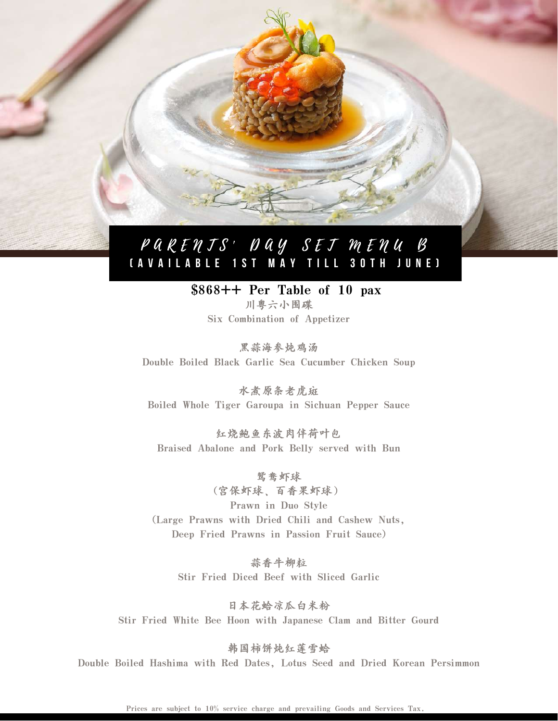## PARENTS' DAY SET MENU B [AVAILABLE 1ST MAY TILL 30TH JUNE]

#### \$868++ Per Table of 10 pax 川粤六小围碟

Six Combination of Appetizer

黑蒜海参炖鸡汤 Double Boiled Black Garlic Sea Cucumber Chicken Soup

水煮原条老虎斑 Boiled Whole Tiger Garoupa in Sichuan Pepper Sauce

红烧鲍鱼东波肉伴荷叶包 Braised Abalone and Pork Belly served with Bun

鸳鸯虾球 (宫保虾球、百香果虾球) Prawn in Duo Style (Large Prawns with Dried Chili and Cashew Nuts, Deep Fried Prawns in Passion Fruit Sauce)

蒜香牛柳粒 Stir Fried Diced Beef with Sliced Garlic

日本花蛤凉瓜白米粉 Stir Fried White Bee Hoon with Japanese Clam and Bitter Gourd

韩国柿饼炖红莲雪蛤 Double Boiled Hashima with Red Dates, Lotus Seed and Dried Korean Persimmon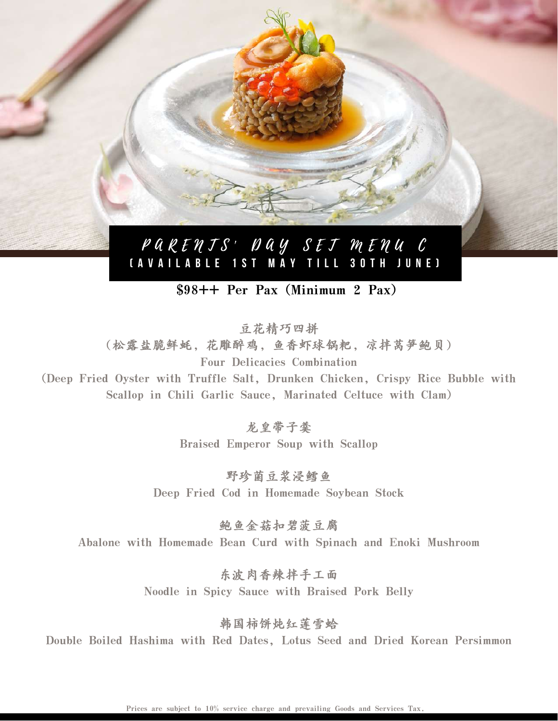

### \$98++ Per Pax (Minimum 2 Pax)

豆花精巧四拼 (松露盐脆鲜蚝,花雕醉鸡,鱼香虾球锅粑,凉拌莴笋鲍贝) Four Delicacies Combination

(Deep Fried Oyster with Truffle Salt, Drunken Chicken, Crispy Rice Bubble with Scallop in Chili Garlic Sauce, Marinated Celtuce with Clam)

> 龙皇带子羹 Braised Emperor Soup with Scallop

野珍菌豆浆浸鳕鱼 Deep Fried Cod in Homemade Soybean Stock

鲍鱼金菇扣碧菠豆腐 Abalone with Homemade Bean Curd with Spinach and Enoki Mushroom

> 东波肉香辣拌手工面 Noodle in Spicy Sauce with Braised Pork Belly

> > 韩国柿饼炖红莲雪蛤

Double Boiled Hashima with Red Dates, Lotus Seed and Dried Korean Persimmon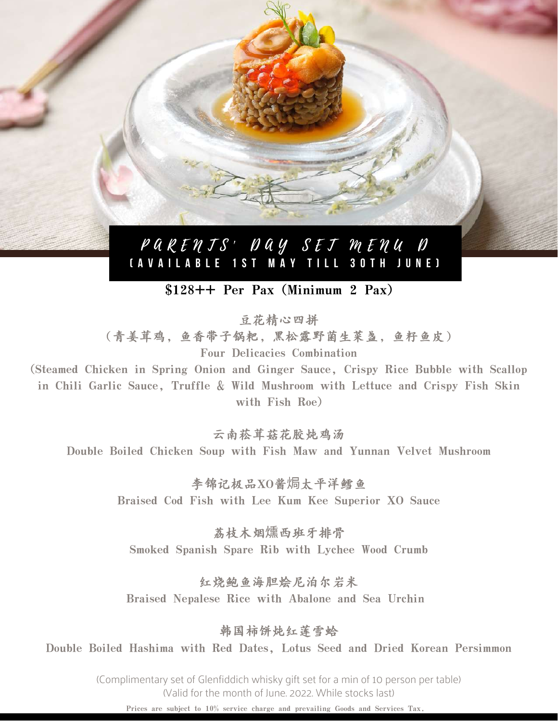## P A R E N T S ' D A Y S E T M E N U D [AVAILABLE 1ST MAY TILL 30TH JUNE]

### \$128++ Per Pax (Minimum 2 Pax)

豆花精心四拼

(青姜茸鸡,鱼香带子锅粑,黑松露野菌生菜盏,鱼籽鱼皮) Four Delicacies Combination

(Steamed Chicken in Spring Onion and Ginger Sauce, Crispy Rice Bubble with Scallop in Chili Garlic Sauce, Truffle & Wild Mushroom with Lettuce and Crispy Fish Skin with Fish Roe)

云南菘茸菇花胶炖鸡汤

Double Boiled Chicken Soup with Fish Maw and Yunnan Velvet Mushroom

李锦记极品XO酱焗太平洋鳕鱼 Braised Cod Fish with Lee Kum Kee Superior XO Sauce

荔枝木烟燻西班牙排骨 Smoked Spanish Spare Rib with Lychee Wood Crumb

红烧鲍鱼海胆烩尼泊尔岩米 Braised Nepalese Rice with Abalone and Sea Urchin

韩国柿饼炖红莲雪蛤

Double Boiled Hashima with Red Dates, Lotus Seed and Dried Korean Persimmon

(Complimentary set of Glenfiddich whisky gift set for a min of 10 person per table) (Valid for the month of June. 2022. While stocks last)